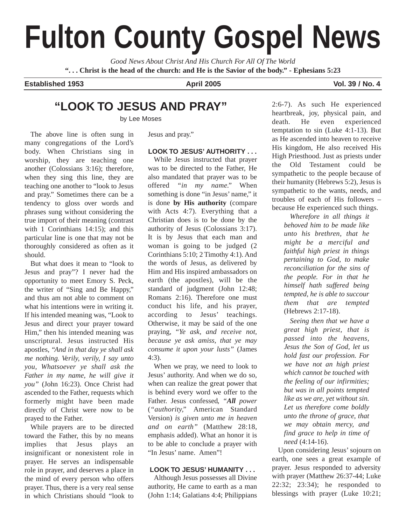# **Fulton County Gospel News**

*Good News About Christ And His Church For All Of The World* **". . . Christ is the head of the church: and He is the Savior of the body." - Ephesians 5:23**

**Established 1953 April 2005 Vol. 39 / No. 4 Vol. 39 / No. 4** 

## **"LOOK TO JESUS AND PRAY"**

by Lee Moses

The above line is often sung in many congregations of the Lord's body. When Christians sing in worship, they are teaching one another (Colossians 3:16); therefore, when they sing this line, they are teaching one another to "look to Jesus and pray." Sometimes there can be a tendency to gloss over words and phrases sung without considering the true import of their meaning (contrast with 1 Corinthians 14:15); and this particular line is one that may not be thoroughly considered as often as it should.

But what does it mean to "look to Jesus and pray"? I never had the opportunity to meet Emory S. Peck, the writer of "Sing and Be Happy," and thus am not able to comment on what his intentions were in writing it. If his intended meaning was, "Look to Jesus and direct your prayer toward Him," then his intended meaning was unscriptural. Jesus instructed His apostles, *"And in that day ye shall ask me nothing. Verily, verily, I say unto you, Whatsoever ye shall ask the Father in my name, he will give it you"* (John 16:23). Once Christ had ascended to the Father, requests which formerly might have been made directly of Christ were now to be prayed to the Father.

While prayers are to be directed toward the Father, this by no means implies that Jesus plays an insignificant or nonexistent role in prayer. He serves an indispensable role in prayer, and deserves a place in the mind of every person who offers prayer. Thus, there is a very real sense in which Christians should "look to Jesus and pray."

## **LOOK TO JESUS' AUTHORITY . . .**

While Jesus instructed that prayer was to be directed to the Father, He also mandated that prayer was to be offered *"in my name."* When something is done "in Jesus' name," it is done **by His authority** (compare with Acts 4:7). Everything that a Christian does is to be done by the authority of Jesus (Colossians 3:17). It is by Jesus that each man and woman is going to be judged (2 Corinthians 5:10; 2 Timothy 4:1). And the words of Jesus, as delivered by Him and His inspired ambassadors on earth (the apostles), will be the standard of judgment (John 12:48; Romans 2:16). Therefore one must conduct his life, and his prayer, according to Jesus' teachings. Otherwise, it may be said of the one praying, "*Ye ask, and receive not, because ye ask amiss, that ye may consume it upon your lusts"* (James 4:3).

When we pray, we need to look to Jesus' authority. And when we do so, when can realize the great power that is behind every word we offer to the Father. Jesus confessed, *"All power* (*"authority,"* American Standard Version) *is given unto me in heaven and on earth"* (Matthew 28:18, emphasis added). What an honor it is to be able to conclude a prayer with "In Jesus' name. Amen"!

## **LOOK TO JESUS' HUMANITY . . .**

Although Jesus possesses all Divine authority, He came to earth as a man (John 1:14; Galatians 4:4; Philippians 2:6-7). As such He experienced heartbreak, joy, physical pain, and death. He even experienced temptation to sin (Luke 4:1-13). But as He ascended into heaven to receive His kingdom, He also received His High Priesthood. Just as priests under the Old Testament could be sympathetic to the people because of their humanity (Hebrews 5:2), Jesus is sympathetic to the wants, needs, and troubles of each of His followers – because He experienced such things.

*Wherefore in all things it behoved him to be made like unto his brethren, that he might be a merciful and faithful high priest in things pertaining to God, to make reconciliation for the sins of the people. For in that he himself hath suffered being tempted, he is able to succour them that are tempted* (Hebrews 2:17-18).

*Seeing then that we have a great high priest, that is passed into the heavens, Jesus the Son of God, let us hold fast our profession. For we have not an high priest which cannot be touched with the feeling of our infirmities; but was in all points tempted like as we are, yet without sin. Let us therefore come boldly unto the throne of grace, that we may obtain mercy, and find grace to help in time of need* (4:14-16).

Upon considering Jesus' sojourn on earth, one sees a great example of prayer. Jesus responded to adversity with prayer (Matthew 26:37-44; Luke 22:32; 23:34); he responded to blessings with prayer (Luke 10:21;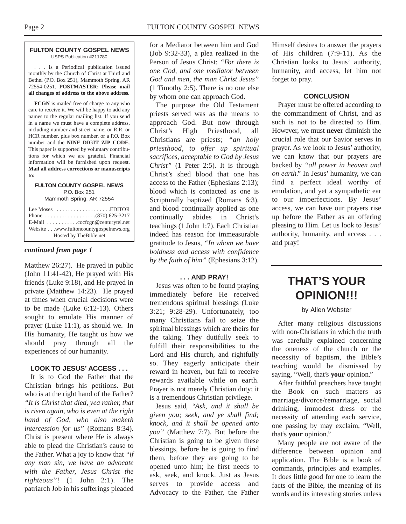#### **FULTON COUNTY GOSPEL NEWS** USPS Publication #211780

. . . is a Periodical publication issued monthly by the Church of Christ at Third and Bethel (P.O. Box 251), Mammoth Spring, AR 72554-0251. **POSTMASTER: Please mail all changes of address to the above address.**

**FCGN** is mailed free of charge to any who care to receive it. We will be happy to add any names to the regular mailing list. If you send in a name we must have a complete address, including number and street name, or R.R. or HCR number, plus box number, or a P.O. Box number and the **NINE DIGIT ZIP CODE**. This paper is supported by voluntary contributions for which we are grateful. Financial information will be furnished upon request. **Mail all address corrections or manuscripts to:**

#### **FULTON COUNTY GOSPEL NEWS** P.O. Box 251

Mammoth Spring, AR 72554

| Lee Moses $\dots \dots \dots \dots \dots$ . EDITOR     |
|--------------------------------------------------------|
|                                                        |
| E-Mail $\ldots \ldots \ldots$ . cocfcgn@centurytel.net |
| Website www.fultoncountygospelnews.org                 |
| Hosted by The Bible.net                                |

## *continued from page 1*

Matthew 26:27). He prayed in public (John 11:41-42), He prayed with His friends (Luke 9:18), and He prayed in private (Matthew 14:23). He prayed at times when crucial decisions were to be made (Luke 6:12-13). Others sought to emulate His manner of prayer (Luke 11:1), as should we. In His humanity, He taught us how we should pray through all the experiences of our humanity.

## **LOOK TO JESUS' ACCESS . . .**

It is to God the Father that the Christian brings his petitions. But who is at the right hand of the Father? *"It is Christ that died, yea rather, that is risen again, who is even at the right hand of God, who also maketh intercession for us"* (Romans 8:34). Christ is present where He is always able to plead the Christian's cause to the Father. What a joy to know that *"if any man sin, we have an advocate with the Father, Jesus Christ the righteous"*! (1 John 2:1). The patriarch Job in his sufferings pleaded for a Mediator between him and God (Job 9:32-33), a plea realized in the Person of Jesus Christ: *"For there is one God, and one mediator between God and men, the man Christ Jesus"* (1 Timothy 2:5). There is no one else by whom one can approach God.

The purpose the Old Testament priests served was as the means to approach God. But now through Christ's High Priesthood, all Christians are priests; *"an holy priesthood, to offer up spiritual sacrifices, acceptable to God by Jesus Christ"* (1 Peter 2:5). It is through Christ's shed blood that one has access to the Father (Ephesians 2:13); blood which is contacted as one is Scripturally baptized (Romans 6:3), and blood continually applied as one continually abides in Christ's teachings (1 John 1:7). Each Christian indeed has reason for immeasurable gratitude to Jesus, *"In whom we have boldness and access with confidence by the faith of him"* (Ephesians 3:12).

## **. . . AND PRAY!**

Jesus was often to be found praying immediately before He received tremendous spiritual blessings (Luke 3:21; 9:28-29). Unfortunately, too many Christians fail to seize the spiritual blessings which are theirs for the taking. They dutifully seek to fulfill their responsibilities to the Lord and His church, and rightfully so. They eagerly anticipate their reward in heaven, but fail to receive rewards available while on earth. Prayer is not merely Christian duty; it is a tremendous Christian privilege.

Jesus said, *"Ask, and it shall be given you; seek, and ye shall find; knock, and it shall be opened unto you"* (Matthew 7:7). But before the Christian is going to be given these blessings, before he is going to find them, before they are going to be opened unto him; he first needs to ask, seek, and knock. Just as Jesus serves to provide access and Advocacy to the Father, the Father Himself desires to answer the prayers of His children (7:9-11). As the Christian looks to Jesus' authority, humanity, and access, let him not forget to pray.

## **CONCLUSION**

Prayer must be offered according to the commandment of Christ, and as such is not to be directed to Him. However, we must **never** diminish the crucial role that our Savior serves in prayer. As we look to Jesus' authority, we can know that our prayers are backed by *"all power in heaven and on earth."* In Jesus' humanity, we can find a perfect ideal worthy of emulation, and yet a sympathetic ear to our imperfections. By Jesus' access, we can have our prayers rise up before the Father as an offering pleasing to Him. Let us look to Jesus' authority, humanity, and access . . . and pray!

# **THAT'S YOUR OPINION!!!**

#### by Allen Webster

After many religious discussions with non-Christians in which the truth was carefully explained concerning the oneness of the church or the necessity of baptism, the Bible's teaching would be dismissed by saying, "Well, that's **your** opinion."

After faithful preachers have taught the Book on such matters as marriage/divorce/remarriage, social drinking, immodest dress or the necessity of attending each service, one passing by may exclaim, "Well, that's **your** opinion."

Many people are not aware of the difference between opinion and application. The Bible is a book of commands, principles and examples. It does little good for one to learn the facts of the Bible, the meaning of its words and its interesting stories unless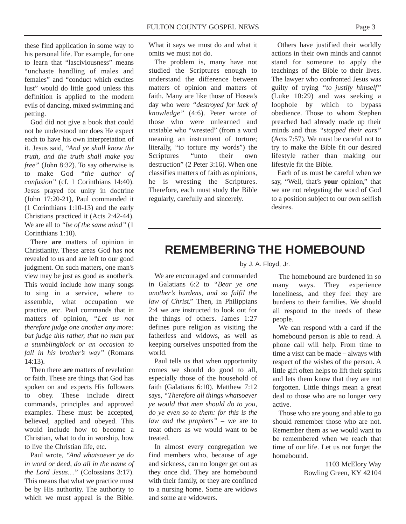these find application in some way to his personal life. For example, for one to learn that "lasciviousness" means "unchaste handling of males and females" and "conduct which excites lust" would do little good unless this definition is applied to the modern evils of dancing, mixed swimming and petting.

God did not give a book that could not be understood nor does He expect each to have his own interpretation of it. Jesus said, *"And ye shall know the truth, and the truth shall make you free"* (John 8:32). To say otherwise is to make God *"the author of confusion"* (cf. 1 Corinthians 14:40). Jesus prayed for unity in doctrine (John 17:20-21), Paul commanded it (1 Corinthians 1:10-13) and the early Christians practiced it (Acts 2:42-44). We are all to *"be of the same mind"* (1 Corinthians 1:10).

There **are** matters of opinion in Christianity. These areas God has not revealed to us and are left to our good judgment. On such matters, one man's view may be just as good as another's. This would include how many songs to sing in a service, where to assemble, what occupation we practice, etc. Paul commands that in matters of opinion, *"Let us not therefore judge one another any more: but judge this rather, that no man put a stumblingblock or an occasion to fall in his brother's way"* (Romans 14:13).

Then there **are** matters of revelation or faith. These are things that God has spoken on and expects His followers to obey. These include direct commands, principles and approved examples. These must be accepted, believed, applied and obeyed. This would include how to become a Christian, what to do in worship, how to live the Christian life, etc.

Paul wrote, *"And whatsoever ye do in word or deed, do all in the name of the Lord Jesus…"* (Colossians 3:17). This means that what we practice must be by His authority. The authority to which we must appeal is the Bible.

What it says we must do and what it omits we must not do.

The problem is, many have not studied the Scriptures enough to understand the difference between matters of opinion and matters of faith. Many are like those of Hosea's day who were *"destroyed for lack of knowledge"* (4:6). Peter wrote of those who were unlearned and unstable who "wrested" (from a word meaning an instrument of torture; literally, "to torture my words") the Scriptures "unto their own destruction" (2 Peter 3:16). When one classifies matters of faith as opinions, he is wresting the Scriptures. Therefore, each must study the Bible regularly, carefully and sincerely.

Others have justified their worldly actions in their own minds and cannot stand for someone to apply the teachings of the Bible to their lives. The lawyer who confronted Jesus was guilty of trying *"to justify himself"* (Luke 10:29) and was seeking a loophole by which to bypass obedience. Those to whom Stephen preached had already made up their minds and thus *"stopped their ears"* (Acts 7:57). We must be careful not to try to make the Bible fit our desired lifestyle rather than making our lifestyle fit the Bible.

Each of us must be careful when we say, "Well, that's **your** opinion," that we are not relegating the word of God to a position subject to our own selfish desires.

# **REMEMBERING THE HOMEBOUND**

## by J. A. Floyd, Jr.

We are encouraged and commanded in Galatians 6:2 to *"Bear ye one another's burdens, and so fulfil the law of Christ."* Then, in Philippians 2:4 we are instructed to look out for the things of others. James 1:27 defines pure religion as visiting the fatherless and widows, as well as keeping ourselves unspotted from the world.

Paul tells us that when opportunity comes we should do good to all, especially those of the household of faith (Galatians 6:10). Matthew 7:12 says, *"Therefore all things whatsoever ye would that men should do to you, do ye even so to them: for this is the law and the prophets"* – we are to treat others as we would want to be treated.

In almost every congregation we find members who, because of age and sickness, can no longer get out as they once did. They are homebound with their family, or they are confined to a nursing home. Some are widows and some are widowers.

The homebound are burdened in so many ways. They experience loneliness, and they feel they are burdens to their families. We should all respond to the needs of these people.

We can respond with a card if the homebound person is able to read. A phone call will help. From time to time a visit can be made – always with respect of the wishes of the person. A little gift often helps to lift their spirits and lets them know that they are not forgotten. Little things mean a great deal to those who are no longer very active.

Those who are young and able to go should remember those who are not. Remember them as we would want to be remembered when we reach that time of our life. Let us not forget the homebound.

> 1103 McElory Way Bowling Green, KY 42104